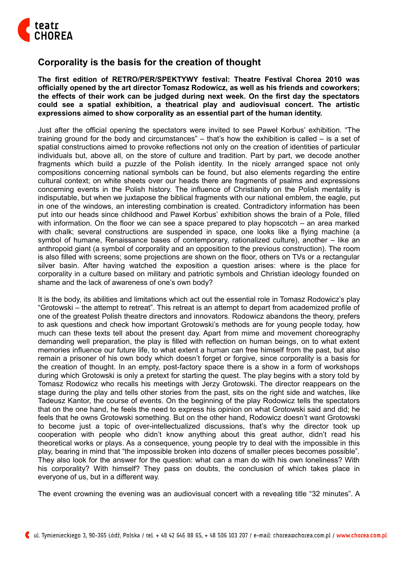

## **Corporality is the basis for the creation of thought**

**The first edition of RETRO/PER/SPEKTYWY festival: Theatre Festival Chorea 2010 was officially opened by the art director Tomasz Rodowicz, as well as his friends and coworkers; the effects of their work can be judged during next week. On the first day the spectators could see a spatial exhibition, a theatrical play and audiovisual concert. The artistic expressions aimed to show corporality as an essential part of the human identity.**

Just after the official opening the spectators were invited to see Paweł Korbus' exhibition. "The training ground for the body and circumstances" – that's how the exhibition is called – is a set of spatial constructions aimed to provoke reflections not only on the creation of identities of particular individuals but, above all, on the store of culture and tradition. Part by part, we decode another fragments which build a puzzle of the Polish identity. In the nicely arranged space not only compositions concerning national symbols can be found, but also elements regarding the entire cultural context; on white sheets over our heads there are fragments of psalms and expressions concerning events in the Polish history. The influence of Christianity on the Polish mentality is indisputable, but when we juxtapose the biblical fragments with our national emblem, the eagle, put in one of the windows, an interesting combination is created. Contradictory information has been put into our heads since childhood and Paweł Korbus' exhibition shows the brain of a Pole, filled with information. On the floor we can see a space prepared to play hopscotch – an area marked with chalk; several constructions are suspended in space, one looks like a flying machine (a symbol of humane, Renaissance bases of contemporary, rationalized culture), another – like an anthropoid giant (a symbol of corporality and an opposition to the previous construction). The room is also filled with screens; some projections are shown on the floor, others on TVs or a rectangular silver basin. After having watched the exposition a question arises: where is the place for corporality in a culture based on military and patriotic symbols and Christian ideology founded on shame and the lack of awareness of one's own body?

It is the body, its abilities and limitations which act out the essential role in Tomasz Rodowicz's play "Grotowski – the attempt to retreat". This retreat is an attempt to depart from academized profile of one of the greatest Polish theatre directors and innovators. Rodowicz abandons the theory, prefers to ask questions and check how important Grotowski's methods are for young people today, how much can these texts tell about the present day. Apart from mime and movement choreography demanding well preparation, the play is filled with reflection on human beings, on to what extent memories influence our future life, to what extent a human can free himself from the past, but also remain a prisoner of his own body which doesn't forget or forgive, since corporality is a basis for the creation of thought. In an empty, post-factory space there is a show in a form of workshops during which Grotowski is only a pretext for starting the quest. The play begins with a story told by Tomasz Rodowicz who recalls his meetings with Jerzy Grotowski. The director reappears on the stage during the play and tells other stories from the past, sits on the right side and watches, like Tadeusz Kantor, the course of events. On the beginning of the play Rodowicz tells the spectators that on the one hand, he feels the need to express his opinion on what Grotowski said and did; he feels that he owns Grotowski something. But on the other hand, Rodowicz doesn't want Grotowski to become just a topic of over-intellectualized discussions, that's why the director took up cooperation with people who didn't know anything about this great author, didn't read his theoretical works or plays. As a consequence, young people try to deal with the impossible in this play, bearing in mind that "the impossible broken into dozens of smaller pieces becomes possible". They also look for the answer for the question: what can a man do with his own loneliness? With his corporality? With himself? They pass on doubts, the conclusion of which takes place in everyone of us, but in a different way.

The event crowning the evening was an audiovisual concert with a revealing title "32 minutes". A